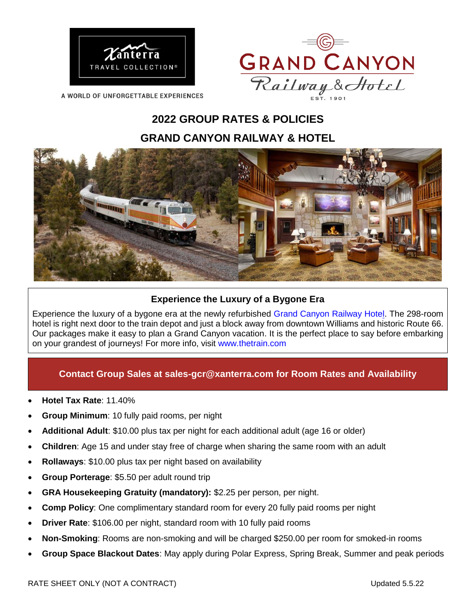



**A WORLD OF UNFORGETTABLE EXPERIENCES** 

# **2022 GROUP RATES & POLICIES GRAND CANYON RAILWAY & HOTEL**



### **Experience the Luxury of a Bygone Era**

Experience the luxury of a bygone era at the newly refurbished [Grand Canyon Railway Hotel.](https://www.thetrain.com/lodging/) The 298-room hotel is right next door to the train depot and just a block away from downtown Williams and historic Route 66. Our packages make it easy to plan a Grand Canyon vacation. It is the perfect place to say before embarking on your grandest of journeys! For more info, visit [www.thetrain.com](http://www.thetrain.com/)

## **Contact Group Sales at [sales-gcr@xanterra.com](mailto:sales-gcr@xanterra.com) for Room Rates and Availability**

- **Hotel Tax Rate**: 11.40%
- **Group Minimum**: 10 fully paid rooms, per night
- **Additional Adult**: \$10.00 plus tax per night for each additional adult (age 16 or older)
- **Children**: Age 15 and under stay free of charge when sharing the same room with an adult
- **Rollaways**: \$10.00 plus tax per night based on availability
- **Group Porterage**: \$5.50 per adult round trip
- **GRA Housekeeping Gratuity (mandatory):** \$2.25 per person, per night.
- **Comp Policy**: One complimentary standard room for every 20 fully paid rooms per night
- **Driver Rate**: \$106.00 per night, standard room with 10 fully paid rooms
- **Non-Smoking**: Rooms are non-smoking and will be charged \$250.00 per room for smoked-in rooms
- **Group Space Blackout Dates**: May apply during Polar Express, Spring Break, Summer and peak periods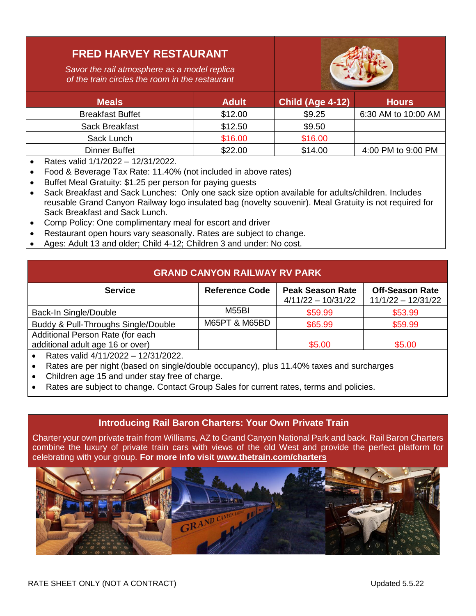## **FRED HARVEY RESTAURANT**

*Savor the rail atmosphere as a model replica of the train circles the room in the restaurant*



| <b>Meals</b>            | <b>Adult</b> | <b>Child (Age 4-12)</b> | <b>Hours</b>        |
|-------------------------|--------------|-------------------------|---------------------|
| <b>Breakfast Buffet</b> | \$12.00      | \$9.25                  | 6:30 AM to 10:00 AM |
| Sack Breakfast          | \$12.50      | \$9.50                  |                     |
| Sack Lunch              | \$16.00      | \$16.00                 |                     |
| Dinner Buffet           | \$22.00      | \$14.00                 | 4:00 PM to 9:00 PM  |

- Rates valid  $1/1/2022 12/31/2022$ .
- Food & Beverage Tax Rate: 11.40% (not included in above rates)
- Buffet Meal Gratuity: \$1.25 per person for paying guests
- Sack Breakfast and Sack Lunches: Only one sack size option available for adults/children. Includes reusable Grand Canyon Railway logo insulated bag (novelty souvenir). Meal Gratuity is not required for Sack Breakfast and Sack Lunch.
- Comp Policy: One complimentary meal for escort and driver
- Restaurant open hours vary seasonally. Rates are subject to change.
- Ages: Adult 13 and older; Child 4-12; Children 3 and under: No cost.

## **GRAND CANYON RAILWAY RV PARK**

| <b>Service</b>                                                                                                                                                                                                                                                | <b>Reference Code</b>    | <b>Peak Season Rate</b><br>$4/11/22 - 10/31/22$ | <b>Off-Season Rate</b><br>$11/1/22 - 12/31/22$ |
|---------------------------------------------------------------------------------------------------------------------------------------------------------------------------------------------------------------------------------------------------------------|--------------------------|-------------------------------------------------|------------------------------------------------|
| Back-In Single/Double                                                                                                                                                                                                                                         | <b>M55BI</b>             | \$59.99                                         | \$53.99                                        |
| Buddy & Pull-Throughs Single/Double                                                                                                                                                                                                                           | <b>M65PT &amp; M65BD</b> | \$65.99                                         | \$59.99                                        |
| Additional Person Rate (for each                                                                                                                                                                                                                              |                          |                                                 |                                                |
| additional adult age 16 or over)                                                                                                                                                                                                                              |                          | \$5.00                                          | \$5.00                                         |
| $P_1$ , $P_2$ , $P_3$ , $P_4$ , $P_5$ , $P_6$ , $P_5$ , $P_6$ , $P_7$ , $P_8$ , $P_9$ , $P_9$ , $P_9$ , $P_9$ , $P_9$ , $P_9$ , $P_9$ , $P_9$ , $P_9$ , $P_9$ , $P_9$ , $P_9$ , $P_9$ , $P_9$ , $P_9$ , $P_9$ , $P_9$ , $P_9$ , $P_9$ , $P_9$ , $P_9$ , $P_9$ |                          |                                                 |                                                |

- Rates valid 4/11/2022 12/31/2022.
- Rates are per night (based on single/double occupancy), plus 11.40% taxes and surcharges
- Children age 15 and under stay free of charge.
- Rates are subject to change. Contact Group Sales for current rates, terms and policies.

#### **Introducing Rail Baron Charters: Your Own Private Train**

Charter your own private train from Williams, AZ to Grand Canyon National Park and back. Rail Baron Charters combine the luxury of private train cars with views of the old West and provide the perfect platform for celebrating with your group. **For more info visit [www.thetrain.com/charters](http://www.thetrain.com/charters)**

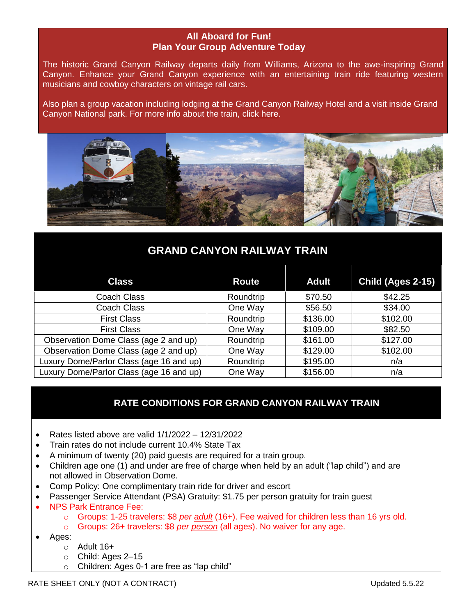#### **All Aboard for Fun! Plan Your Group Adventure Today**

The historic Grand Canyon Railway departs daily from Williams, Arizona to the awe-inspiring Grand Canyon. Enhance your Grand Canyon experience with an entertaining train ride featuring western musicians and cowboy characters on vintage rail cars.

Also plan a group vacation including lodging at the Grand Canyon Railway Hotel and a visit inside Grand Canyon National park. For more info about the train, [click here.](https://www.thetrain.com/the-train/)



## **GRAND CANYON RAILWAY TRAIN**

| <b>Class</b>                             | <b>Route</b> | <b>Adult</b> | Child (Ages 2-15) |
|------------------------------------------|--------------|--------------|-------------------|
| <b>Coach Class</b>                       | Roundtrip    | \$70.50      | \$42.25           |
| Coach Class                              | One Way      | \$56.50      | \$34.00           |
| <b>First Class</b>                       | Roundtrip    | \$136.00     | \$102.00          |
| <b>First Class</b>                       | One Way      | \$109.00     | \$82.50           |
| Observation Dome Class (age 2 and up)    | Roundtrip    | \$161.00     | \$127.00          |
| Observation Dome Class (age 2 and up)    | One Way      | \$129.00     | \$102.00          |
| Luxury Dome/Parlor Class (age 16 and up) | Roundtrip    | \$195.00     | n/a               |
| Luxury Dome/Parlor Class (age 16 and up) | One Way      | \$156.00     | n/a               |

## **RATE CONDITIONS FOR GRAND CANYON RAILWAY TRAIN**

- Rates listed above are valid  $1/1/2022 12/31/2022$
- Train rates do not include current 10.4% State Tax
- A minimum of twenty (20) paid guests are required for a train group.
- Children age one (1) and under are free of charge when held by an adult ("lap child") and are not allowed in Observation Dome.
- Comp Policy: One complimentary train ride for driver and escort
- Passenger Service Attendant (PSA) Gratuity: \$1.75 per person gratuity for train guest
- NPS Park Entrance Fee:
	- o Groups: 1-25 travelers: \$8 *per adult* (16+). Fee waived for children less than 16 yrs old.
	- o Groups: 26+ travelers: \$8 *per person* (all ages). No waiver for any age.
- Ages:
	- $\circ$  Adult 16+
	- o Child: Ages 2–15
	- o Children: Ages 0-1 are free as "lap child"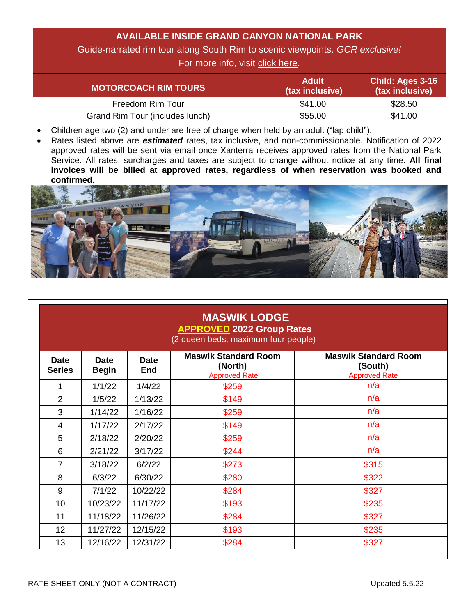## **AVAILABLE INSIDE GRAND CANYON NATIONAL PARK**

Guide-narrated rim tour along South Rim to scenic viewpoints. *GCR exclusive!*

For more info, visit [click here.](https://www.thetrain.com/plan/grand-canyon-tours/)

| <b>MOTORCOACH RIM TOURS</b>     | <b>Adult</b><br>(tax inclusive) | <b>Child: Ages 3-16</b><br>(tax inclusive) |
|---------------------------------|---------------------------------|--------------------------------------------|
| Freedom Rim Tour                | \$41.00                         | \$28.50                                    |
| Grand Rim Tour (includes lunch) | \$55.00                         | \$41.00                                    |

• Children age two (2) and under are free of charge when held by an adult ("lap child").

 Rates listed above are *estimated* rates, tax inclusive, and non-commissionable. Notification of 2022 approved rates will be sent via email once Xanterra receives approved rates from the National Park Service. All rates, surcharges and taxes are subject to change without notice at any time. **All final invoices will be billed at approved rates, regardless of when reservation was booked and confirmed.**



| <b>MASWIK LODGE</b><br><b>APPROVED 2022 Group Rates</b><br>(2 queen beds, maximum four people) |                             |                           |                                                                |                                                                |
|------------------------------------------------------------------------------------------------|-----------------------------|---------------------------|----------------------------------------------------------------|----------------------------------------------------------------|
| <b>Date</b><br><b>Series</b>                                                                   | <b>Date</b><br><b>Begin</b> | <b>Date</b><br><b>End</b> | <b>Maswik Standard Room</b><br>(North)<br><b>Approved Rate</b> | <b>Maswik Standard Room</b><br>(South)<br><b>Approved Rate</b> |
| 1                                                                                              | 1/1/22                      | 1/4/22                    | \$259                                                          | n/a                                                            |
| $\overline{2}$                                                                                 | 1/5/22                      | 1/13/22                   | \$149                                                          | n/a                                                            |
| 3                                                                                              | 1/14/22                     | 1/16/22                   | \$259                                                          | n/a                                                            |
| 4                                                                                              | 1/17/22                     | 2/17/22                   | \$149                                                          | n/a                                                            |
| 5                                                                                              | 2/18/22                     | 2/20/22                   | \$259                                                          | n/a                                                            |
| 6                                                                                              | 2/21/22                     | 3/17/22                   | \$244                                                          | n/a                                                            |
| $\overline{7}$                                                                                 | 3/18/22                     | 6/2/22                    | \$273                                                          | \$315                                                          |
| 8                                                                                              | 6/3/22                      | 6/30/22                   | \$280                                                          | \$322                                                          |
| 9                                                                                              | 7/1/22                      | 10/22/22                  | \$284                                                          | \$327                                                          |
| 10                                                                                             | 10/23/22                    | 11/17/22                  | \$193                                                          | \$235                                                          |
| 11                                                                                             | 11/18/22                    | 11/26/22                  | \$284                                                          | \$327                                                          |
| 12                                                                                             | 11/27/22                    | 12/15/22                  | \$193                                                          | \$235                                                          |
| 13                                                                                             | 12/16/22                    | 12/31/22                  | \$284                                                          | \$327                                                          |